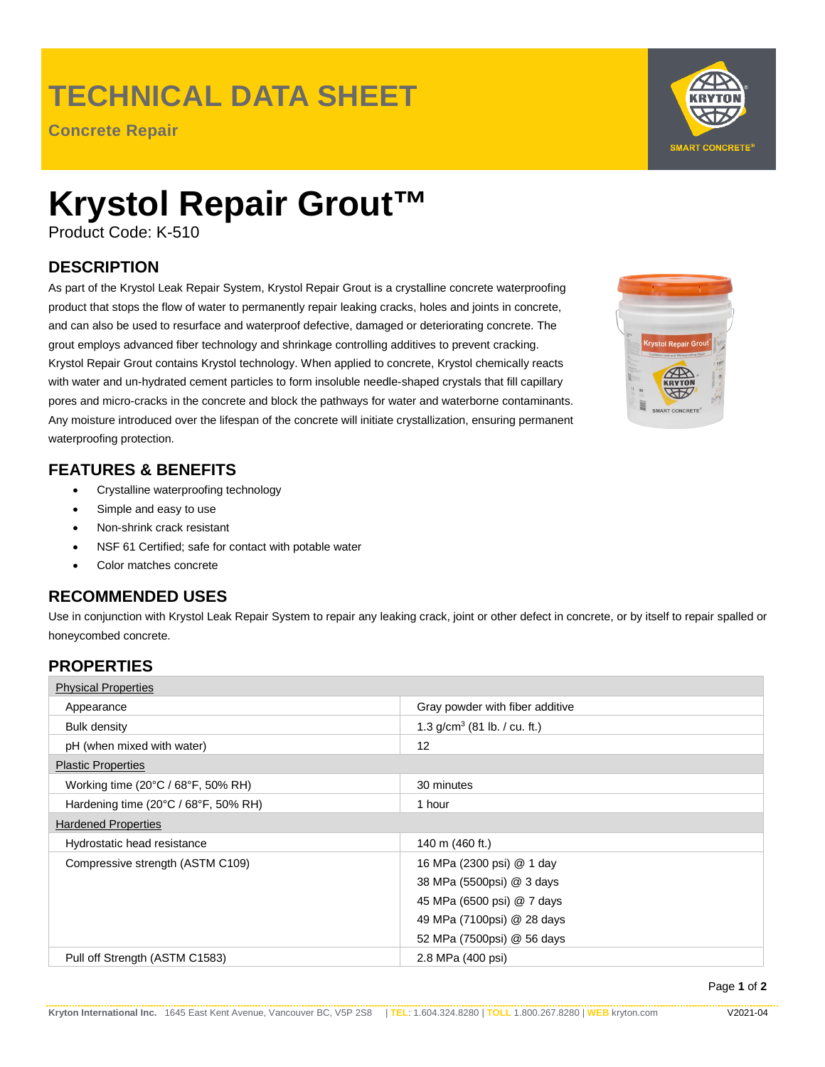## **TECHNICAL DATA SHEET**

**Concrete Repair**



# **Krystol Repair Grout™**

Product Code: K-510

## **DESCRIPTION**

As part of the Krystol Leak Repair System, Krystol Repair Grout is a crystalline concrete waterproofing product that stops the flow of water to permanently repair leaking cracks, holes and joints in concrete, and can also be used to resurface and waterproof defective, damaged or deteriorating concrete. The grout employs advanced fiber technology and shrinkage controlling additives to prevent cracking. Krystol Repair Grout contains Krystol technology. When applied to concrete, Krystol chemically reacts with water and un-hydrated cement particles to form insoluble needle-shaped crystals that fill capillary pores and micro-cracks in the concrete and block the pathways for water and waterborne contaminants. Any moisture introduced over the lifespan of the concrete will initiate crystallization, ensuring permanent waterproofing protection.

## **FEATURES & BENEFITS**

- Crystalline waterproofing technology
- Simple and easy to use
- Non-shrink crack resistant
- NSF 61 Certified; safe for contact with potable water
- Color matches concrete

## **RECOMMENDED USES**

Use in conjunction with Krystol Leak Repair System to repair any leaking crack, joint or other defect in concrete, or by itself to repair spalled or honeycombed concrete.

### **PROPERTIES**

| <b>Physical Properties</b>           |                                 |
|--------------------------------------|---------------------------------|
| Appearance                           | Gray powder with fiber additive |
| <b>Bulk density</b>                  | 1.3 $g/cm^3$ (81 lb. / cu. ft.) |
| pH (when mixed with water)           | 12                              |
| <b>Plastic Properties</b>            |                                 |
| Working time (20°C / 68°F, 50% RH)   | 30 minutes                      |
| Hardening time (20°C / 68°F, 50% RH) | 1 hour                          |
| <b>Hardened Properties</b>           |                                 |
| Hydrostatic head resistance          | 140 m (460 ft.)                 |
| Compressive strength (ASTM C109)     | 16 MPa (2300 psi) @ 1 day       |
|                                      | 38 MPa (5500psi) @ 3 days       |
|                                      | 45 MPa (6500 psi) @ 7 days      |
|                                      | 49 MPa (7100psi) @ 28 days      |
|                                      | 52 MPa (7500psi) @ 56 days      |
| Pull off Strength (ASTM C1583)       | 2.8 MPa (400 psi)               |